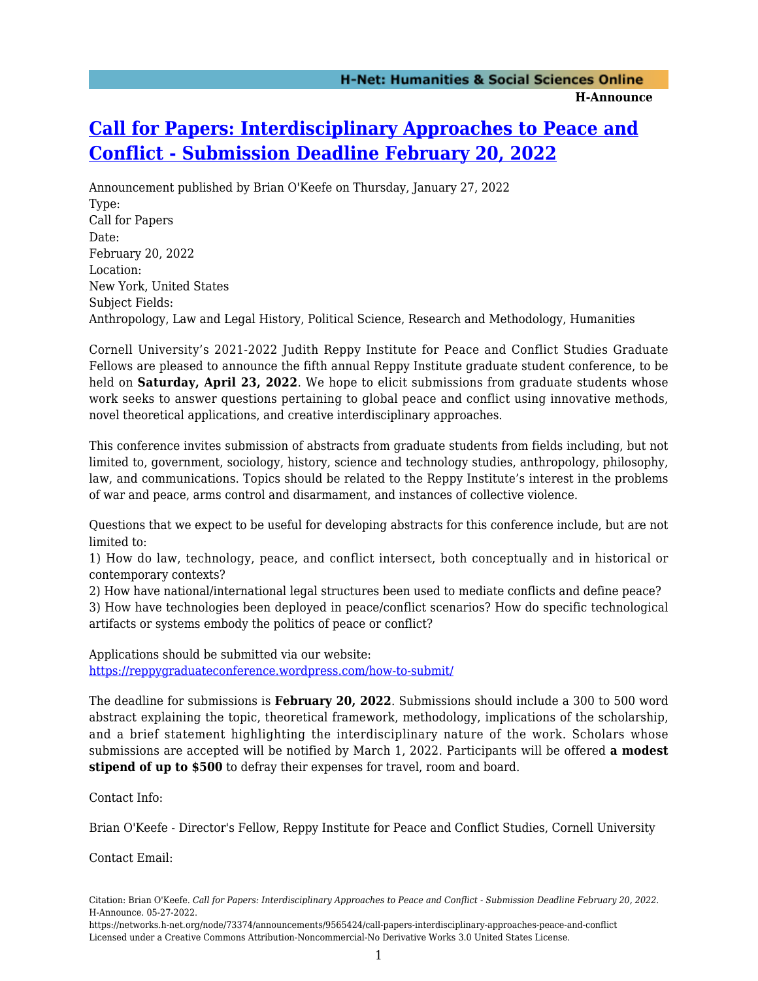## **[Call for Papers: Interdisciplinary Approaches to Peace and](https://networks.h-net.org/node/73374/announcements/9565424/call-papers-interdisciplinary-approaches-peace-and-conflict) [Conflict - Submission Deadline February 20, 2022](https://networks.h-net.org/node/73374/announcements/9565424/call-papers-interdisciplinary-approaches-peace-and-conflict)**

Announcement published by Brian O'Keefe on Thursday, January 27, 2022 Type: Call for Papers Date: February 20, 2022 Location: New York, United States Subject Fields: Anthropology, Law and Legal History, Political Science, Research and Methodology, Humanities

Cornell University's 2021-2022 Judith Reppy Institute for Peace and Conflict Studies Graduate Fellows are pleased to announce the fifth annual Reppy Institute graduate student conference, to be held on **Saturday, April 23, 2022**. We hope to elicit submissions from graduate students whose work seeks to answer questions pertaining to global peace and conflict using innovative methods, novel theoretical applications, and creative interdisciplinary approaches.

This conference invites submission of abstracts from graduate students from fields including, but not limited to, government, sociology, history, science and technology studies, anthropology, philosophy, law, and communications. Topics should be related to the Reppy Institute's interest in the problems of war and peace, arms control and disarmament, and instances of collective violence.

Questions that we expect to be useful for developing abstracts for this conference include, but are not limited to:

1) How do law, technology, peace, and conflict intersect, both conceptually and in historical or contemporary contexts?

2) How have national/international legal structures been used to mediate conflicts and define peace?

3) How have technologies been deployed in peace/conflict scenarios? How do specific technological artifacts or systems embody the politics of peace or conflict?

Applications should be submitted via our website: <https://reppygraduateconference.wordpress.com/how-to-submit/>

The deadline for submissions is **February 20, 2022**. Submissions should include a 300 to 500 word abstract explaining the topic, theoretical framework, methodology, implications of the scholarship, and a brief statement highlighting the interdisciplinary nature of the work. Scholars whose submissions are accepted will be notified by March 1, 2022. Participants will be offered **a modest stipend of up to \$500** to defray their expenses for travel, room and board.

Contact Info:

Brian O'Keefe - Director's Fellow, Reppy Institute for Peace and Conflict Studies, Cornell University

Contact Email:

Citation: Brian O'Keefe. *Call for Papers: Interdisciplinary Approaches to Peace and Conflict - Submission Deadline February 20, 2022*. H-Announce. 05-27-2022.

https://networks.h-net.org/node/73374/announcements/9565424/call-papers-interdisciplinary-approaches-peace-and-conflict Licensed under a Creative Commons Attribution-Noncommercial-No Derivative Works 3.0 United States License.